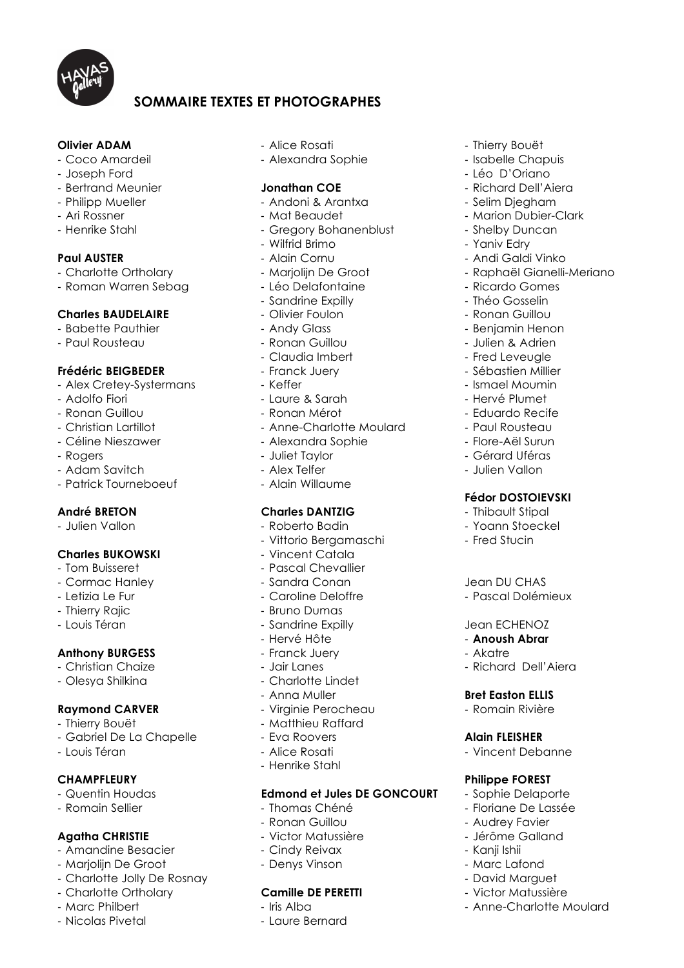

# **SOMMAIRE TEXTES ET PHOTOGRAPHES**

## **Olivier ADAM**

- Coco Amardeil
- Joseph Ford
- Bertrand Meunier
- Philipp Mueller
- Ari Rossner
- Henrike Stahl

#### **Paul AUSTER**

- Charlotte Ortholary
- Roman Warren Sebag

#### **Charles BAUDELAIRE**

- Babette Pauthier
- Paul Rousteau

## **Frédéric BEIGBEDER**

- Alex Cretey-Systermans
- Adolfo Fiori
- Ronan Guillou
- Christian Lartillot
- Céline Nieszawer
- Rogers
- Adam Savitch
- Patrick Tourneboeuf

## **André BRETON**

- Julien Vallon

#### **Charles BUKOWSKI**

- Tom Buisseret
- Cormac Hanley
- Letizia Le Fur
- Thierry Rajic
- Louis Téran

## **Anthony BURGESS**

- Christian Chaize
- Olesya Shilkina

#### **Raymond CARVER**

- Thierry Bouët
- Gabriel De La Chapelle
- Louis Téran

#### **CHAMPFLEURY**

- Quentin Houdas
- Romain Sellier

#### **Agatha CHRISTIE**

- Amandine Besacier
- Marjolijn De Groot
- Charlotte Jolly De Rosnay
- Charlotte Ortholary
- Marc Philbert
- Nicolas Pivetal
- Alice Rosati
- Alexandra Sophie

- Thierry Bouët - Isabelle Chapuis - Léo D'Oriano - Richard Dell'Aiera - Selim Djegham - Marion Dubier-Clark - Shelby Duncan - Yaniv Edry - Andi Galdi Vinko

- Raphaël Gianelli-Meriano

- Ricardo Gomes - Théo Gosselin - Ronan Guillou - Benjamin Henon - Julien & Adrien - Fred Leveugle - Sébastien Millier - Ismael Moumin - Hervé Plumet - Eduardo Recife - Paul Rousteau - Flore-Aël Surun - Gérard Uféras - Julien Vallon

**Fédor DOSTOIEVSKI** - Thibault Stipal - Yoann Stoeckel - Fred Stucin

Jean DU CHAS - Pascal Dolémieux

Jean ECHENOZ - **Anoush Abrar** 

**Bret Easton ELLIS** - Romain Rivière

**Alain FLEISHER** - Vincent Debanne

**Philippe FOREST** - Sophie Delaporte - Floriane De Lassée - Audrey Favier - Jérôme Galland

- Anne-Charlotte Moulard

- Kanji Ishii - Marc Lafond - David Marguet - Victor Matussière

- Richard Dell'Aiera

- Akatre

#### **Jonathan COE**

- Andoni & Arantxa
- Mat Beaudet
- Gregory Bohanenblust
- Wilfrid Brimo
- Alain Cornu
- Marjolijn De Groot
- Léo Delafontaine
- Sandrine Expilly
- Olivier Foulon
- Andy Glass
- Ronan Guillou
- Claudia Imbert
- Franck Juery
- Keffer
- Laure & Sarah
- Ronan Mérot
- Anne-Charlotte Moulard
- Alexandra Sophie
- Juliet Taylor
- Alex Telfer
- Alain Willaume

# **Charles DANTZIG**

- Roberto Badin
- Vittorio Bergamaschi
- Vincent Catala
- Pascal Chevallier
- Sandra Conan
- Caroline Deloffre
- Bruno Dumas
- Sandrine Expilly
- Hervé Hôte
- Franck Juery
- Jair Lanes
- Charlotte Lindet
- Anna Muller
- Virginie Perocheau
- Matthieu Raffard
- Eva Roovers
- Alice Rosati
- Henrike Stahl

#### **Edmond et Jules DE GONCOURT**

- Thomas Chéné
- Ronan Guillou
- Victor Matussière
- Cindy Reivax
- Denys Vinson

#### **Camille DE PERETTI**

- Laure Bernard

- Iris Alba